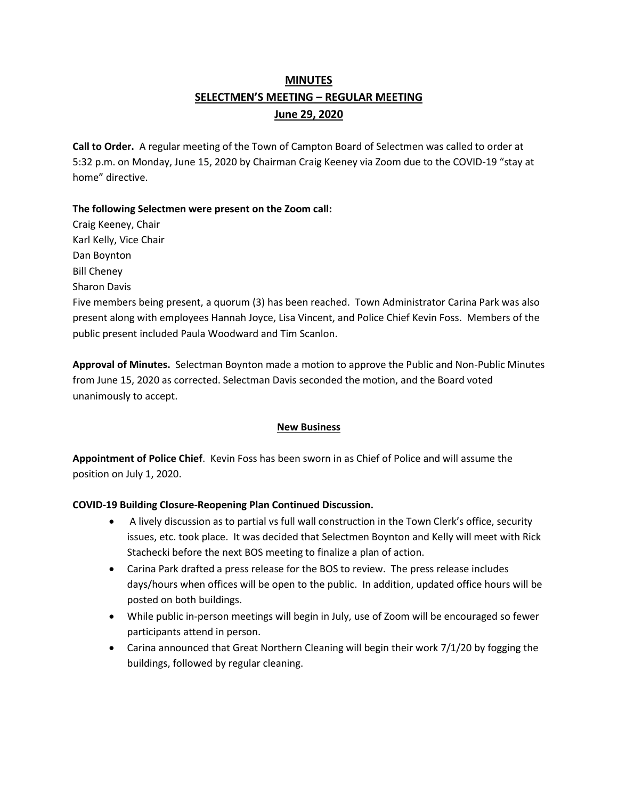# **MINUTES SELECTMEN'S MEETING – REGULAR MEETING June 29, 2020**

**Call to Order.** A regular meeting of the Town of Campton Board of Selectmen was called to order at 5:32 p.m. on Monday, June 15, 2020 by Chairman Craig Keeney via Zoom due to the COVID-19 "stay at home" directive.

## **The following Selectmen were present on the Zoom call:**

Craig Keeney, Chair Karl Kelly, Vice Chair Dan Boynton Bill Cheney

Sharon Davis

Five members being present, a quorum (3) has been reached.Town Administrator Carina Park was also present along with employees Hannah Joyce, Lisa Vincent, and Police Chief Kevin Foss. Members of the public present included Paula Woodward and Tim Scanlon.

**Approval of Minutes.** Selectman Boynton made a motion to approve the Public and Non-Public Minutes from June 15, 2020 as corrected. Selectman Davis seconded the motion, and the Board voted unanimously to accept.

### **New Business**

**Appointment of Police Chief**. Kevin Foss has been sworn in as Chief of Police and will assume the position on July 1, 2020.

## **COVID-19 Building Closure-Reopening Plan Continued Discussion.**

- A lively discussion as to partial vs full wall construction in the Town Clerk's office, security issues, etc. took place. It was decided that Selectmen Boynton and Kelly will meet with Rick Stachecki before the next BOS meeting to finalize a plan of action.
- Carina Park drafted a press release for the BOS to review. The press release includes days/hours when offices will be open to the public. In addition, updated office hours will be posted on both buildings.
- While public in-person meetings will begin in July, use of Zoom will be encouraged so fewer participants attend in person.
- Carina announced that Great Northern Cleaning will begin their work 7/1/20 by fogging the buildings, followed by regular cleaning.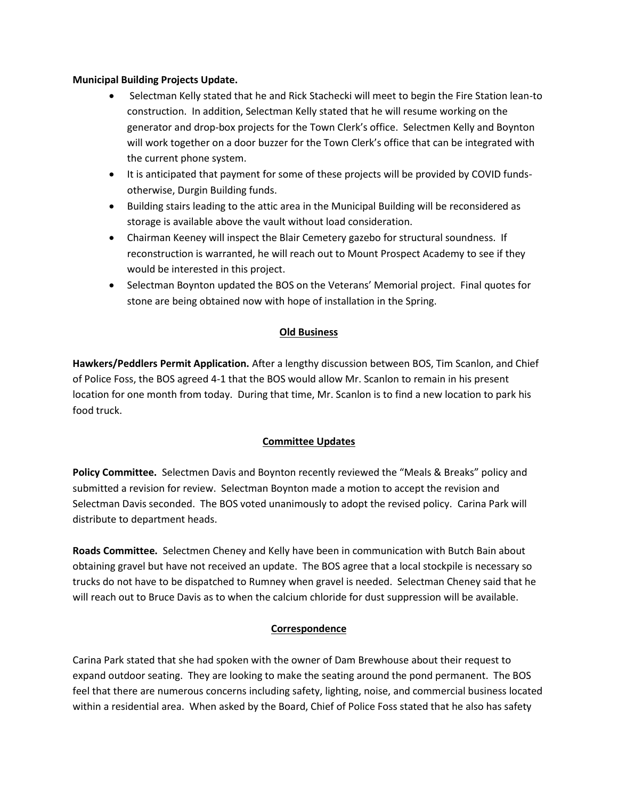### **Municipal Building Projects Update.**

- Selectman Kelly stated that he and Rick Stachecki will meet to begin the Fire Station lean-to construction. In addition, Selectman Kelly stated that he will resume working on the generator and drop-box projects for the Town Clerk's office. Selectmen Kelly and Boynton will work together on a door buzzer for the Town Clerk's office that can be integrated with the current phone system.
- It is anticipated that payment for some of these projects will be provided by COVID fundsotherwise, Durgin Building funds.
- Building stairs leading to the attic area in the Municipal Building will be reconsidered as storage is available above the vault without load consideration.
- Chairman Keeney will inspect the Blair Cemetery gazebo for structural soundness. If reconstruction is warranted, he will reach out to Mount Prospect Academy to see if they would be interested in this project.
- Selectman Boynton updated the BOS on the Veterans' Memorial project. Final quotes for stone are being obtained now with hope of installation in the Spring.

### **Old Business**

**Hawkers/Peddlers Permit Application.** After a lengthy discussion between BOS, Tim Scanlon, and Chief of Police Foss, the BOS agreed 4-1 that the BOS would allow Mr. Scanlon to remain in his present location for one month from today. During that time, Mr. Scanlon is to find a new location to park his food truck.

### **Committee Updates**

**Policy Committee.** Selectmen Davis and Boynton recently reviewed the "Meals & Breaks" policy and submitted a revision for review. Selectman Boynton made a motion to accept the revision and Selectman Davis seconded. The BOS voted unanimously to adopt the revised policy. Carina Park will distribute to department heads.

**Roads Committee.** Selectmen Cheney and Kelly have been in communication with Butch Bain about obtaining gravel but have not received an update. The BOS agree that a local stockpile is necessary so trucks do not have to be dispatched to Rumney when gravel is needed. Selectman Cheney said that he will reach out to Bruce Davis as to when the calcium chloride for dust suppression will be available.

### **Correspondence**

Carina Park stated that she had spoken with the owner of Dam Brewhouse about their request to expand outdoor seating. They are looking to make the seating around the pond permanent. The BOS feel that there are numerous concerns including safety, lighting, noise, and commercial business located within a residential area. When asked by the Board, Chief of Police Foss stated that he also has safety